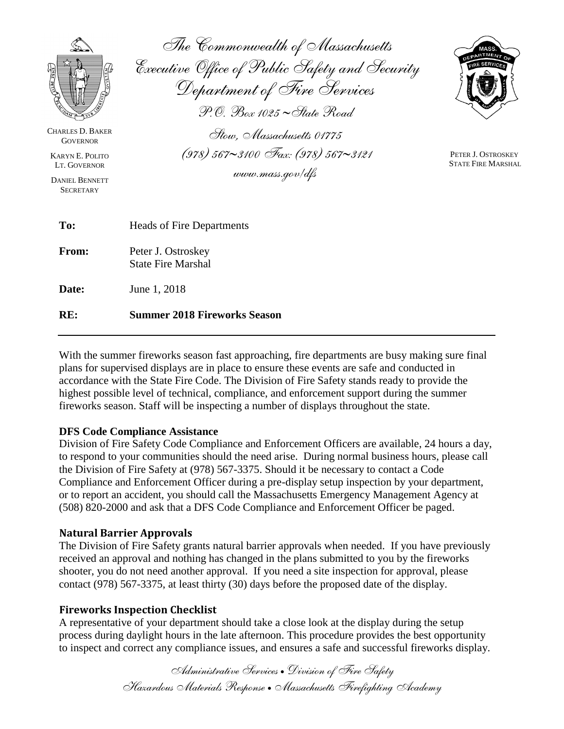| <b>CHARLES D. BAKER</b>                                                                                | The Commonwealth of Massachusetts<br>Executive Office of Public Safety and Security<br>Department of Fire Services<br>$\mathscr{P}$ . $\mathscr{D}_{ox}$ 1025 ~ State Road<br>Stow. Massachusetts 01775 |                                                 |
|--------------------------------------------------------------------------------------------------------|---------------------------------------------------------------------------------------------------------------------------------------------------------------------------------------------------------|-------------------------------------------------|
| <b>GOVERNOR</b><br><b>KARYN E. POLITO</b><br>LT. GOVERNOR<br><b>DANIEL BENNETT</b><br><b>SECRETARY</b> | $(978)$ 567~3100 Fax: (978) 567~3121<br>www.mass.gov/dfs                                                                                                                                                | PETER J. OSTROSKEY<br><b>STATE FIRE MARSHAL</b> |
| To:                                                                                                    | Heads of Fire Departments                                                                                                                                                                               |                                                 |
| From:                                                                                                  | Peter J. Ostroskey<br><b>State Fire Marshal</b>                                                                                                                                                         |                                                 |
| Date:                                                                                                  | June 1, 2018                                                                                                                                                                                            |                                                 |
| RE:                                                                                                    | <b>Summer 2018 Fireworks Season</b>                                                                                                                                                                     |                                                 |

With the summer fireworks season fast approaching, fire departments are busy making sure final plans for supervised displays are in place to ensure these events are safe and conducted in accordance with the State Fire Code. The Division of Fire Safety stands ready to provide the highest possible level of technical, compliance, and enforcement support during the summer fireworks season. Staff will be inspecting a number of displays throughout the state.

### **DFS Code Compliance Assistance**

Division of Fire Safety Code Compliance and Enforcement Officers are available, 24 hours a day, to respond to your communities should the need arise. During normal business hours, please call the Division of Fire Safety at (978) 567-3375. Should it be necessary to contact a Code Compliance and Enforcement Officer during a pre-display setup inspection by your department, or to report an accident, you should call the Massachusetts Emergency Management Agency at (508) 820-2000 and ask that a DFS Code Compliance and Enforcement Officer be paged.

### **Natural Barrier Approvals**

The Division of Fire Safety grants natural barrier approvals when needed. If you have previously received an approval and nothing has changed in the plans submitted to you by the fireworks shooter, you do not need another approval. If you need a site inspection for approval, please contact (978) 567-3375, at least thirty (30) days before the proposed date of the display.

### **Fireworks Inspection Checklist**

A representative of your department should take a close look at the display during the setup process during daylight hours in the late afternoon. This procedure provides the best opportunity to inspect and correct any compliance issues, and ensures a safe and successful fireworks display.

> *Administrative Services Division of Fire Safety Hazardous Materials Response Massachusetts Firefighting Academy*